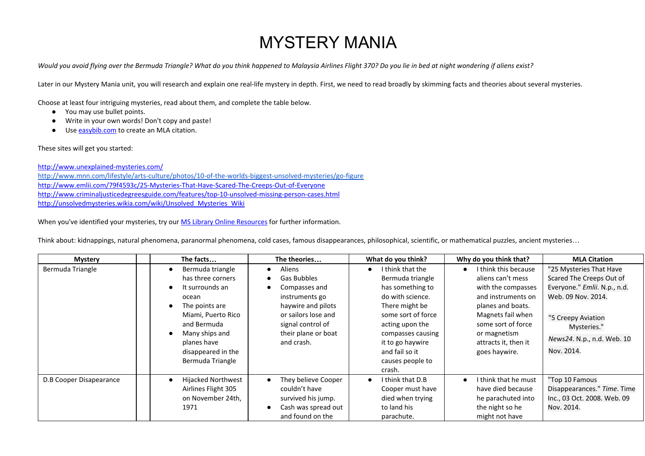## MYSTERY MANIA

Would you avoid flying over the Bermuda Triangle? What do you think happened to Malaysia Airlines Flight 370? Do you lie in bed at night wondering if aliens exist?

Later in our Mystery Mania unit, you will research and explain one real-life mystery in depth. First, we need to read broadly by skimming facts and theories about several mysteries.

Choose at least four intriguing mysteries, read about them, and complete the table below.

- You may use bullet points.
- Write in your own words! Don't copy and paste!
- Use [easybib.com](http://www.google.com/url?q=http%3A%2F%2Feasybib.com%2F&sa=D&sntz=1&usg=AFQjCNFxwRp8u75MUg-jxkeWxXkqkrjjtg) to create an MLA citation.

These sites will get you started:

[http://www.unexplained-mysteries.com/](http://www.google.com/url?q=http%3A%2F%2Fwww.unexplained-mysteries.com%2F&sa=D&sntz=1&usg=AFQjCNE9GfaWH6f-szWnOBCTVeDoDNLmSw) [http://www.mnn.com/lifestyle/arts-culture/photos/10-of-the-worlds-biggest-unsolved-mysteries/go-figure](http://www.google.com/url?q=http%3A%2F%2Fwww.mnn.com%2Flifestyle%2Farts-culture%2Fphotos%2F10-of-the-worlds-biggest-unsolved-mysteries%2Fgo-figure&sa=D&sntz=1&usg=AFQjCNHSswBq_m9umSOaBb0EE7uKSUhNfw) [http://www.emlii.com/79f4593c/25-Mysteries-That-Have-Scared-The-Creeps-Out-of-Everyone](http://www.google.com/url?q=http%3A%2F%2Fwww.emlii.com%2F79f4593c%2F25-Mysteries-That-Have-Scared-The-Creeps-Out-of-Everyone&sa=D&sntz=1&usg=AFQjCNFnDpvplvlb62UwMJ6zOCrx8CGbcQ) [http://www.criminaljusticedegreesguide.com/features/top-10-unsolved-missing-person-cases.html](http://www.google.com/url?q=http%3A%2F%2Fwww.criminaljusticedegreesguide.com%2Ffeatures%2Ftop-10-unsolved-missing-person-cases.html&sa=D&sntz=1&usg=AFQjCNHN_4GDAMnjMaSbg686zjeCkcrDyQ) [http://unsolvedmysteries.wikia.com/wiki/Unsolved\\_Mysteries\\_Wiki](http://www.google.com/url?q=http%3A%2F%2Funsolvedmysteries.wikia.com%2Fwiki%2FUnsolved_Mysteries_Wiki&sa=D&sntz=1&usg=AFQjCNFz57IlS2C0a-cH4ZS8_uiP-iqHHw)

When you've identified your mysteries, try our **MS Library Online [Resources](http://www.google.com/url?q=http%3A%2F%2Fwww.hkis.edu.hk%2Fdragonnet-library-tech%2Fonline-resources%2Findex.aspx&sa=D&sntz=1&usg=AFQjCNEJXYFOgw5vBAq9RC6jc-1A6n0_qA)** for further information.

Think about: kidnappings, natural phenomena, paranormal phenomena, cold cases, famous disappearances, philosophical, scientific, or mathematical puzzles, ancient mysteries…

| <b>Mystery</b>          | The facts                                                                                                                                                                                                                      | The theories                                                                                                                                                    | What do you think?                                                                                                                                                                                                               | Why do you think that?                                                                                                                                                                                         | <b>MLA Citation</b>                                                                                                                                                                        |
|-------------------------|--------------------------------------------------------------------------------------------------------------------------------------------------------------------------------------------------------------------------------|-----------------------------------------------------------------------------------------------------------------------------------------------------------------|----------------------------------------------------------------------------------------------------------------------------------------------------------------------------------------------------------------------------------|----------------------------------------------------------------------------------------------------------------------------------------------------------------------------------------------------------------|--------------------------------------------------------------------------------------------------------------------------------------------------------------------------------------------|
| Bermuda Triangle        | Bermuda triangle<br>has three corners<br>It surrounds an<br>- 0<br>ocean<br>The points are<br>$\bullet$<br>Miami, Puerto Rico<br>and Bermuda<br>Many ships and<br>- 0<br>planes have<br>disappeared in the<br>Bermuda Triangle | Aliens<br>Gas Bubbles<br>Compasses and<br>instruments go<br>haywire and pilots<br>or sailors lose and<br>signal control of<br>their plane or boat<br>and crash. | I think that the<br>Bermuda triangle<br>has something to<br>do with science.<br>There might be<br>some sort of force<br>acting upon the<br>compasses causing<br>it to go haywire<br>and fail so it<br>causes people to<br>crash. | I think this because<br>aliens can't mess<br>with the compasses<br>and instruments on<br>planes and boats.<br>Magnets fail when<br>some sort of force<br>or magnetism<br>attracts it, then it<br>goes haywire. | "25 Mysteries That Have<br>Scared The Creeps Out of<br>Everyone." Emlii. N.p., n.d.<br>Web. 09 Nov. 2014.<br>"5 Creepy Aviation<br>Mysteries."<br>News24. N.p., n.d. Web. 10<br>Nov. 2014. |
| D.B Cooper Disapearance | Hijacked Northwest<br>Airlines Flight 305<br>on November 24th,<br>1971                                                                                                                                                         | They believe Cooper<br>couldn't have<br>survived his jump.<br>Cash was spread out<br>and found on the                                                           | I think that D.B<br>$\bullet$<br>Cooper must have<br>died when trying<br>to land his<br>parachute.                                                                                                                               | I think that he must<br>$\bullet$<br>have died because<br>he parachuted into<br>the night so he<br>might not have                                                                                              | "Top 10 Famous<br>Disappearances." Time. Time<br>Inc., 03 Oct. 2008. Web. 09<br>Nov. 2014.                                                                                                 |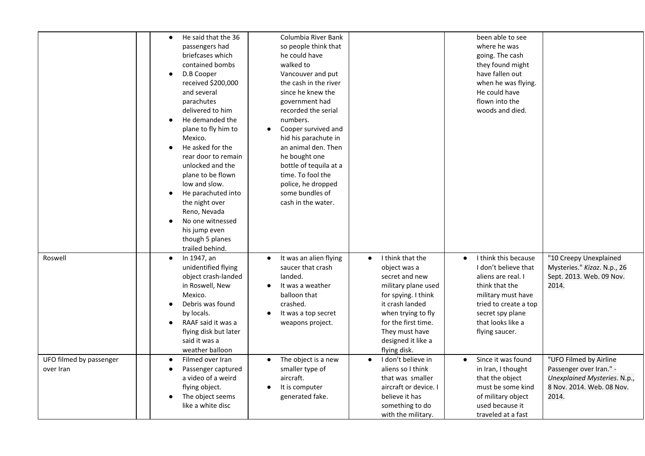|                         | He said that the 36<br>$\bullet$ | Columbia River Bank                 |                                 | been able to see                  |                              |
|-------------------------|----------------------------------|-------------------------------------|---------------------------------|-----------------------------------|------------------------------|
|                         | passengers had                   | so people think that                |                                 | where he was                      |                              |
|                         | briefcases which                 | he could have                       |                                 | going. The cash                   |                              |
|                         | contained bombs                  | walked to                           |                                 | they found might                  |                              |
|                         | D.B Cooper<br>$\bullet$          | Vancouver and put                   |                                 | have fallen out                   |                              |
|                         | received \$200,000               | the cash in the river               |                                 | when he was flying.               |                              |
|                         | and several                      | since he knew the                   |                                 | He could have                     |                              |
|                         | parachutes                       | government had                      |                                 | flown into the                    |                              |
|                         | delivered to him                 | recorded the serial                 |                                 | woods and died.                   |                              |
|                         | He demanded the                  | numbers.                            |                                 |                                   |                              |
|                         | plane to fly him to              | Cooper survived and<br>$\bullet$    |                                 |                                   |                              |
|                         | Mexico.                          | hid his parachute in                |                                 |                                   |                              |
|                         | He asked for the                 | an animal den. Then                 |                                 |                                   |                              |
|                         | rear door to remain              | he bought one                       |                                 |                                   |                              |
|                         | unlocked and the                 | bottle of tequila at a              |                                 |                                   |                              |
|                         | plane to be flown                | time. To fool the                   |                                 |                                   |                              |
|                         | low and slow.                    | police, he dropped                  |                                 |                                   |                              |
|                         | He parachuted into               | some bundles of                     |                                 |                                   |                              |
|                         | the night over                   | cash in the water.                  |                                 |                                   |                              |
|                         | Reno, Nevada                     |                                     |                                 |                                   |                              |
|                         | No one witnessed                 |                                     |                                 |                                   |                              |
|                         | his jump even                    |                                     |                                 |                                   |                              |
|                         | though 5 planes                  |                                     |                                 |                                   |                              |
|                         | trailed behind.                  |                                     |                                 |                                   |                              |
| Roswell                 | In 1947, an<br>$\bullet$         | It was an alien flying<br>$\bullet$ | I think that the<br>$\bullet$   | I think this because<br>$\bullet$ | "10 Creepy Unexplained       |
|                         | unidentified flying              | saucer that crash                   | object was a                    | I don't believe that              | Mysteries." Kizaz. N.p., 26  |
|                         | object crash-landed              | landed.                             | secret and new                  | aliens are real. I                | Sept. 2013. Web. 09 Nov.     |
|                         | in Roswell, New                  | It was a weather<br>$\bullet$       | military plane used             | think that the                    | 2014.                        |
|                         | Mexico.                          | balloon that                        | for spying. I think             | military must have                |                              |
|                         | Debris was found<br>$\bullet$    | crashed.                            | it crash landed                 | tried to create a top             |                              |
|                         | by locals.                       | It was a top secret                 | when trying to fly              | secret spy plane                  |                              |
|                         | RAAF said it was a               | weapons project.                    | for the first time.             | that looks like a                 |                              |
|                         | flying disk but later            |                                     | They must have                  | flying saucer.                    |                              |
|                         | said it was a                    |                                     | designed it like a              |                                   |                              |
|                         | weather balloon                  |                                     | flying disk.                    |                                   |                              |
| UFO filmed by passenger | Filmed over Iran<br>$\epsilon$   | The object is a new<br>$\bullet$    | I don't believe in<br>$\bullet$ | Since it was found<br>$\bullet$   | "UFO Filmed by Airline       |
| over Iran               | Passenger captured               | smaller type of                     | aliens so I think               | in Iran, I thought                | Passenger over Iran." -      |
|                         | a video of a weird               | aircraft.                           | that was smaller                | that the object                   | Unexplained Mysteries. N.p., |
|                         | flying object.                   | It is computer<br>$\bullet$         | aircraft or device. I           | must be some kind                 | 8 Nov. 2014. Web. 08 Nov.    |
|                         | The object seems                 | generated fake.                     | believe it has                  | of military object                | 2014.                        |
|                         | like a white disc                |                                     | something to do                 | used because it                   |                              |
|                         |                                  |                                     | with the military.              | traveled at a fast                |                              |